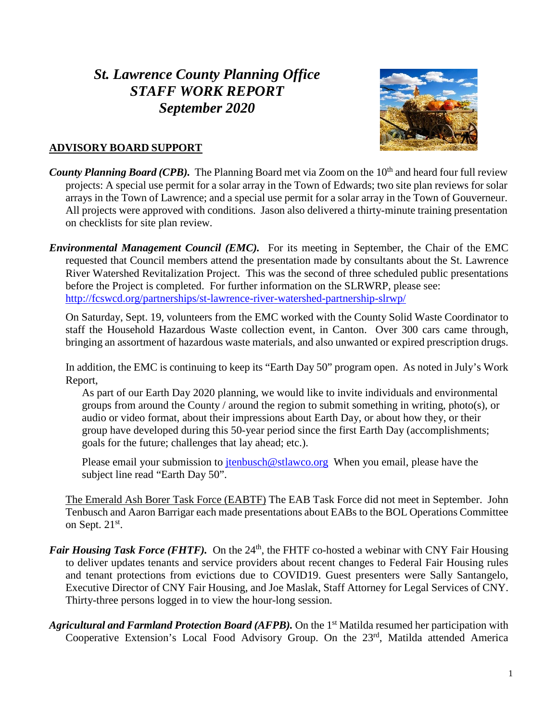# *St. Lawrence County Planning Office STAFF WORK REPORT September 2020*



### **ADVISORY BOARD SUPPORT**

- *County Planning Board (CPB).* The Planning Board met via Zoom on the 10<sup>th</sup> and heard four full review projects: A special use permit for a solar array in the Town of Edwards; two site plan reviews for solar arrays in the Town of Lawrence; and a special use permit for a solar array in the Town of Gouverneur. All projects were approved with conditions. Jason also delivered a thirty-minute training presentation on checklists for site plan review.
- *Environmental Management Council (EMC).* For its meeting in September, the Chair of the EMC requested that Council members attend the presentation made by consultants about the St. Lawrence River Watershed Revitalization Project. This was the second of three scheduled public presentations before the Project is completed. For further information on the SLRWRP, please see: <http://fcswcd.org/partnerships/st-lawrence-river-watershed-partnership-slrwp/>

On Saturday, Sept. 19, volunteers from the EMC worked with the County Solid Waste Coordinator to staff the Household Hazardous Waste collection event, in Canton. Over 300 cars came through, bringing an assortment of hazardous waste materials, and also unwanted or expired prescription drugs.

In addition, the EMC is continuing to keep its "Earth Day 50" program open. As noted in July's Work Report,

As part of our Earth Day 2020 planning, we would like to invite individuals and environmental groups from around the County / around the region to submit something in writing, photo(s), or audio or video format, about their impressions about Earth Day, or about how they, or their group have developed during this 50-year period since the first Earth Day (accomplishments; goals for the future; challenges that lay ahead; etc.).

Please email your submission to  $\frac{\text{tenbusch@stlawco.org}}{\text{tenbusch@stlawco.org}}$  When you email, please have the subject line read "Earth Day 50".

The Emerald Ash Borer Task Force (EABTF) The EAB Task Force did not meet in September. John Tenbusch and Aaron Barrigar each made presentations about EABs to the BOL Operations Committee on Sept. 21<sup>st</sup>.

- *Fair Housing Task Force (FHTF).* On the 24<sup>th</sup>, the FHTF co-hosted a webinar with CNY Fair Housing to deliver updates tenants and service providers about recent changes to Federal Fair Housing rules and tenant protections from evictions due to COVID19. Guest presenters were Sally Santangelo, Executive Director of CNY Fair Housing, and Joe Maslak, Staff Attorney for Legal Services of CNY. Thirty-three persons logged in to view the hour-long session.
- Agricultural and Farmland Protection Board (AFPB). On the 1<sup>st</sup> Matilda resumed her participation with Cooperative Extension's Local Food Advisory Group. On the 23<sup>rd</sup>, Matilda attended America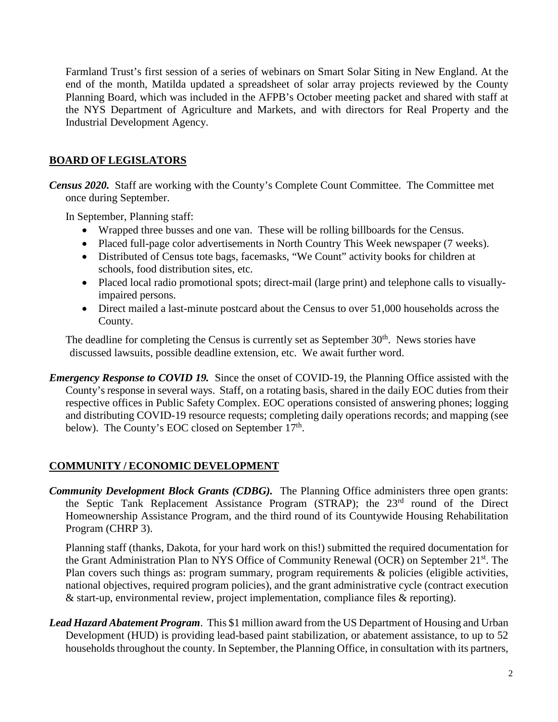Farmland Trust's first session of a series of webinars on Smart Solar Siting in New England. At the end of the month, Matilda updated a spreadsheet of solar array projects reviewed by the County Planning Board, which was included in the AFPB's October meeting packet and shared with staff at the NYS Department of Agriculture and Markets, and with directors for Real Property and the Industrial Development Agency.

## **BOARD OF LEGISLATORS**

*Census 2020.* Staff are working with the County's Complete Count Committee. The Committee met once during September.

In September, Planning staff:

- Wrapped three busses and one van. These will be rolling billboards for the Census.
- Placed full-page color advertisements in North Country This Week newspaper (7 weeks).
- Distributed of Census tote bags, facemasks, "We Count" activity books for children at schools, food distribution sites, etc.
- Placed local radio promotional spots; direct-mail (large print) and telephone calls to visuallyimpaired persons.
- Direct mailed a last-minute postcard about the Census to over 51,000 households across the County.

The deadline for completing the Census is currently set as September 30<sup>th</sup>. News stories have discussed lawsuits, possible deadline extension, etc. We await further word.

*Emergency Response to COVID 19.* Since the onset of COVID-19, the Planning Office assisted with the County's response in several ways. Staff, on a rotating basis, shared in the daily EOC duties from their respective offices in Public Safety Complex. EOC operations consisted of answering phones; logging and distributing COVID-19 resource requests; completing daily operations records; and mapping (see below). The County's EOC closed on September  $17<sup>th</sup>$ .

#### **COMMUNITY / ECONOMIC DEVELOPMENT**

*Community Development Block Grants (CDBG).* The Planning Office administers three open grants: the Septic Tank Replacement Assistance Program (STRAP); the 23rd round of the Direct Homeownership Assistance Program, and the third round of its Countywide Housing Rehabilitation Program (CHRP 3).

Planning staff (thanks, Dakota, for your hard work on this!) submitted the required documentation for the Grant Administration Plan to NYS Office of Community Renewal (OCR) on September 21st. The Plan covers such things as: program summary, program requirements & policies (eligible activities, national objectives, required program policies), and the grant administrative cycle (contract execution & start-up, environmental review, project implementation, compliance files & reporting).

*Lead Hazard Abatement Program*. This \$1 million award from the US Department of Housing and Urban Development (HUD) is providing lead-based paint stabilization, or abatement assistance, to up to 52 households throughout the county. In September, the Planning Office, in consultation with its partners,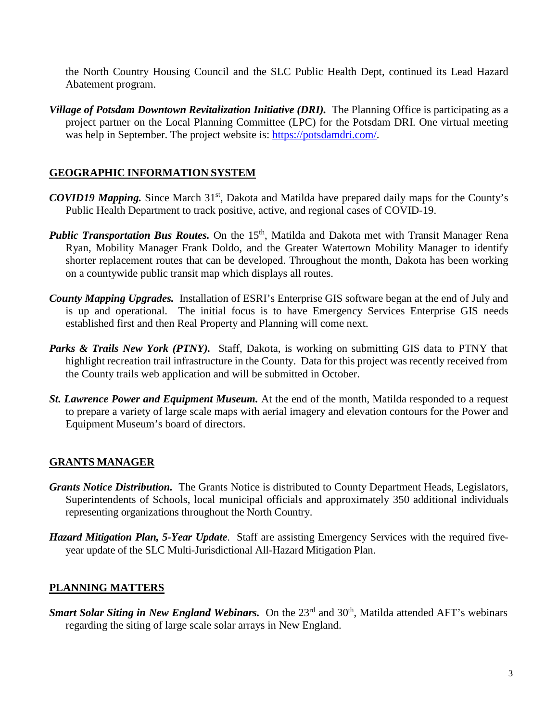the North Country Housing Council and the SLC Public Health Dept, continued its Lead Hazard Abatement program.

*Village of Potsdam Downtown Revitalization Initiative (DRI).* The Planning Office is participating as a project partner on the Local Planning Committee (LPC) for the Potsdam DRI. One virtual meeting was help in September. The project website is: [https://potsdamdri.com/.](https://potsdamdri.com/)

## **GEOGRAPHIC INFORMATION SYSTEM**

- *COVID19 Mapping.* Since March 31<sup>st</sup>, Dakota and Matilda have prepared daily maps for the County's Public Health Department to track positive, active, and regional cases of COVID-19.
- *Public Transportation Bus Routes.* On the 15<sup>th</sup>, Matilda and Dakota met with Transit Manager Rena Ryan, Mobility Manager Frank Doldo, and the Greater Watertown Mobility Manager to identify shorter replacement routes that can be developed. Throughout the month, Dakota has been working on a countywide public transit map which displays all routes.
- *County Mapping Upgrades.* Installation of ESRI's Enterprise GIS software began at the end of July and is up and operational. The initial focus is to have Emergency Services Enterprise GIS needs established first and then Real Property and Planning will come next.
- **Parks & Trails New York (PTNY).** Staff, Dakota, is working on submitting GIS data to PTNY that highlight recreation trail infrastructure in the County. Data for this project was recently received from the County trails web application and will be submitted in October.
- *St. Lawrence Power and Equipment Museum.* At the end of the month, Matilda responded to a request to prepare a variety of large scale maps with aerial imagery and elevation contours for the Power and Equipment Museum's board of directors.

## **GRANTS MANAGER**

- *Grants Notice Distribution.* The Grants Notice is distributed to County Department Heads, Legislators, Superintendents of Schools, local municipal officials and approximately 350 additional individuals representing organizations throughout the North Country.
- *Hazard Mitigation Plan, 5-Year Update*. Staff are assisting Emergency Services with the required fiveyear update of the SLC Multi-Jurisdictional All-Hazard Mitigation Plan.

#### **PLANNING MATTERS**

*Smart Solar Siting in New England Webinars.* On the 23<sup>rd</sup> and 30<sup>th</sup>, Matilda attended AFT's webinars regarding the siting of large scale solar arrays in New England.